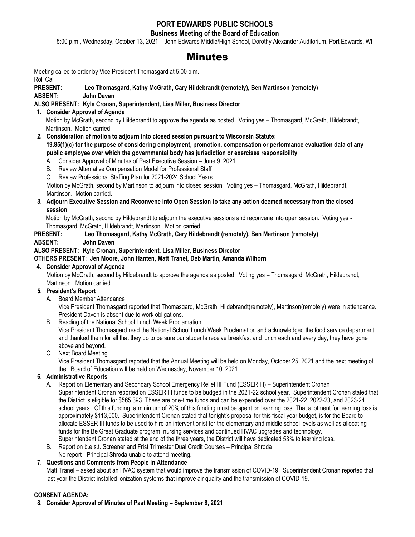### **PORT EDWARDS PUBLIC SCHOOLS**

#### **Business Meeting of the Board of Education**

5:00 p.m., Wednesday, October 13, 2021 – John Edwards Middle/High School, Dorothy Alexander Auditorium, Port Edwards, WI

# Minutes

Meeting called to order by Vice President Thomasgard at 5:00 p.m. Roll Call

#### **PRESENT: Leo Thomasgard, Kathy McGrath, Cary Hildebrandt (remotely), Ben Martinson (remotely)**

**ABSENT: John Daven** 

#### **ALSO PRESENT: Kyle Cronan, Superintendent, Lisa Miller, Business Director**

**1. Consider Approval of Agenda**

 Motion by McGrath, second by Hildebrandt to approve the agenda as posted. Voting yes – Thomasgard, McGrath, Hildebrandt, Martinson. Motion carried.

- **2. Consideration of motion to adjourn into closed session pursuant to Wisconsin Statute: 19.85(1)(c) for the purpose of considering employment, promotion, compensation or performance evaluation data of any public employee over which the governmental body has jurisdiction or exercises responsibility**
	- A. Consider Approval of Minutes of Past Executive Session June 9, 2021
	- B. Review Alternative Compensation Model for Professional Staff
	- C. Review Professional Staffing Plan for 2021-2024 School Years

Motion by McGrath, second by Martinson to adjourn into closed session. Voting yes – Thomasgard, McGrath, Hildebrandt, Martinson. Motion carried.

#### **3. Adjourn Executive Session and Reconvene into Open Session to take any action deemed necessary from the closed session**

 Motion by McGrath, second by Hildebrandt to adjourn the executive sessions and reconvene into open session. Voting yes - Thomasgard, McGrath, Hildebrandt, Martinson. Motion carried.

#### **PRESENT: Leo Thomasgard, Kathy McGrath, Cary Hildebrandt (remotely), Ben Martinson (remotely)**

**ABSENT: John Daven** 

#### **ALSO PRESENT: Kyle Cronan, Superintendent, Lisa Miller, Business Director**

#### **OTHERS PRESENT: Jen Moore, John Hanten, Matt Tranel, Deb Martin, Amanda Wilhorn**

#### **4. Consider Approval of Agenda**

Motion by McGrath, second by Hildebrandt to approve the agenda as posted. Voting yes – Thomasgard, McGrath, Hildebrandt, Martinson. Motion carried.

#### **5. President's Report**

A. Board Member Attendance

Vice President Thomasgard reported that Thomasgard, McGrath, Hildebrandt(remotely), Martinson(remotely) were in attendance. President Daven is absent due to work obligations.

B. Reading of the National School Lunch Week Proclamation

Vice President Thomasgard read the National School Lunch Week Proclamation and acknowledged the food service department and thanked them for all that they do to be sure our students receive breakfast and lunch each and every day, they have gone above and beyond.

C. Next Board Meeting

Vice President Thomasgard reported that the Annual Meeting will be held on Monday, October 25, 2021 and the next meeting of the Board of Education will be held on Wednesday, November 10, 2021.

#### **6. Administrative Reports**

- A. Report on Elementary and Secondary School Emergency Relief III Fund (ESSER III) Superintendent Cronan Superintendent Cronan reported on ESSER III funds to be budged in the 2021-22 school year. Superintendent Cronan stated that the District is eligible for \$565,393. These are one-time funds and can be expended over the 2021-22, 2022-23, and 2023-24 school years. Of this funding, a minimum of 20% of this funding must be spent on learning loss. That allotment for learning loss is approximately \$113,000. Superintendent Cronan stated that tonight's proposal for this fiscal year budget, is for the Board to allocate ESSER III funds to be used to hire an interventionist for the elementary and middle school levels as well as allocating funds for the Be Great Graduate program, nursing services and continued HVAC upgrades and technology. Superintendent Cronan stated at the end of the three years, the District will have dedicated 53% to learning loss.
- B. Report on b.e.s.t. Screener and Frist Trimester Dual Credit Courses Principal Shroda

## No report - Principal Shroda unable to attend meeting.

### **7. Questions and Comments from People in Attendance**

Matt Tranel – asked about an HVAC system that would improve the transmission of COVID-19. Superintendent Cronan reported that last year the District installed ionization systems that improve air quality and the transmission of COVID-19.

#### **CONSENT AGENDA:**

**8. Consider Approval of Minutes of Past Meeting – September 8, 2021**